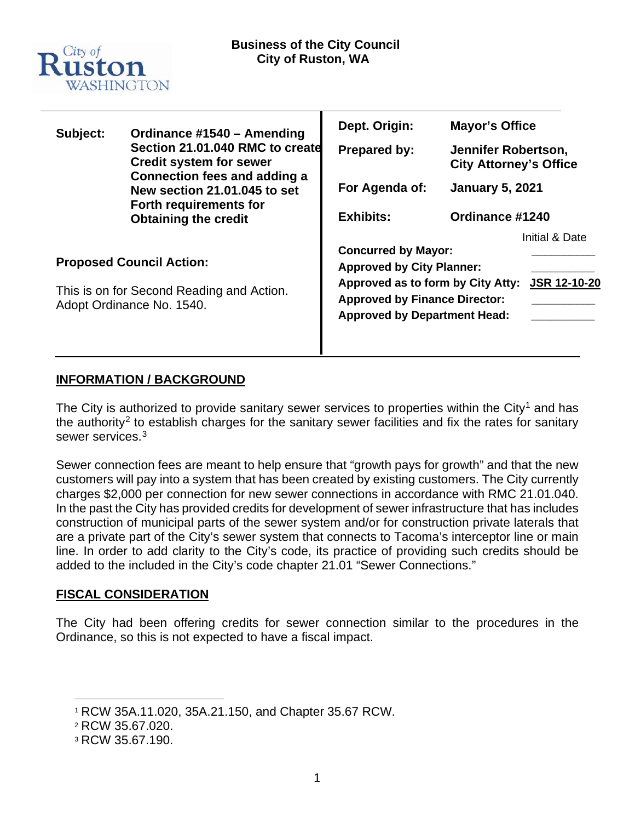

| Subject:                            | Ordinance #1540 - Amending<br>Section 21.01.040 RMC to create<br><b>Credit system for sewer</b><br><b>Connection fees and adding a</b><br>New section 21.01.045 to set<br>Forth requirements for<br><b>Obtaining the credit</b> | Dept. Origin:                                                  | <b>Mayor's Office</b>                                |                |
|-------------------------------------|---------------------------------------------------------------------------------------------------------------------------------------------------------------------------------------------------------------------------------|----------------------------------------------------------------|------------------------------------------------------|----------------|
|                                     |                                                                                                                                                                                                                                 | <b>Prepared by:</b>                                            | Jennifer Robertson,<br><b>City Attorney's Office</b> |                |
|                                     |                                                                                                                                                                                                                                 | For Agenda of:                                                 | <b>January 5, 2021</b><br>Ordinance #1240            |                |
|                                     |                                                                                                                                                                                                                                 | <b>Exhibits:</b>                                               |                                                      |                |
|                                     |                                                                                                                                                                                                                                 |                                                                |                                                      | Initial & Date |
| <b>Proposed Council Action:</b>     |                                                                                                                                                                                                                                 | <b>Concurred by Mayor:</b><br><b>Approved by City Planner:</b> |                                                      |                |
|                                     |                                                                                                                                                                                                                                 |                                                                |                                                      |                |
| <b>Approved by Department Head:</b> |                                                                                                                                                                                                                                 |                                                                |                                                      |                |
|                                     |                                                                                                                                                                                                                                 |                                                                |                                                      |                |

# **INFORMATION / BACKGROUND**

The City is authorized to provide sanitary sewer services to properties within the City<sup>[1](#page-0-0)</sup> and has the authority<sup>[2](#page-0-1)</sup> to establish charges for the sanitary sewer facilities and fix the rates for sanitary sewer services.[3](#page-0-2)

Sewer connection fees are meant to help ensure that "growth pays for growth" and that the new customers will pay into a system that has been created by existing customers. The City currently charges \$2,000 per connection for new sewer connections in accordance with RMC 21.01.040. In the past the City has provided credits for development of sewer infrastructure that has includes construction of municipal parts of the sewer system and/or for construction private laterals that are a private part of the City's sewer system that connects to Tacoma's interceptor line or main line. In order to add clarity to the City's code, its practice of providing such credits should be added to the included in the City's code chapter 21.01 "Sewer Connections."

# **FISCAL CONSIDERATION**

The City had been offering credits for sewer connection similar to the procedures in the Ordinance, so this is not expected to have a fiscal impact.

<span id="page-0-0"></span><sup>1</sup> RCW 35A.11.020, 35A.21.150, and Chapter 35.67 RCW.

<span id="page-0-1"></span><sup>2</sup> RCW 35.67.020.

<span id="page-0-2"></span><sup>3</sup> RCW 35.67.190.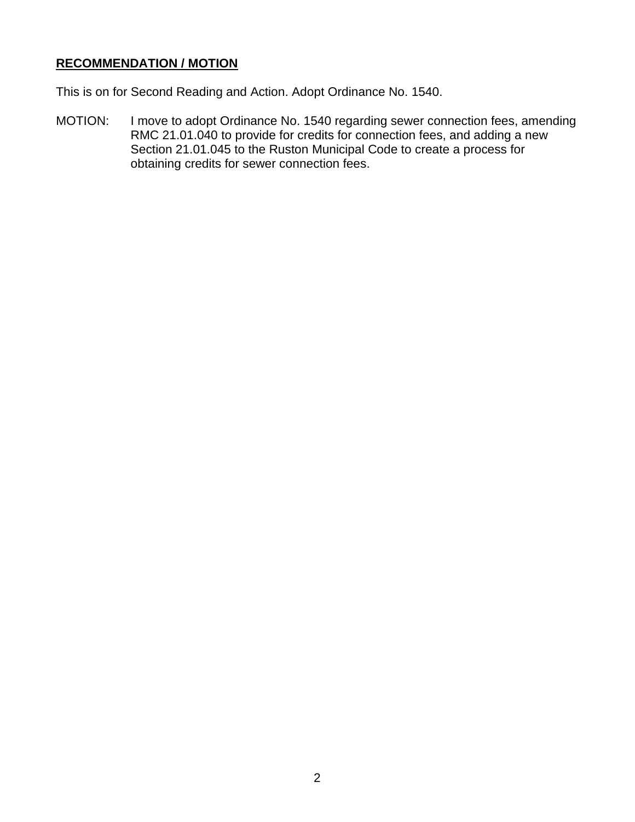# **RECOMMENDATION / MOTION**

This is on for Second Reading and Action. Adopt Ordinance No. 1540.

MOTION: I move to adopt Ordinance No. 1540 regarding sewer connection fees, amending RMC 21.01.040 to provide for credits for connection fees, and adding a new Section 21.01.045 to the Ruston Municipal Code to create a process for obtaining credits for sewer connection fees.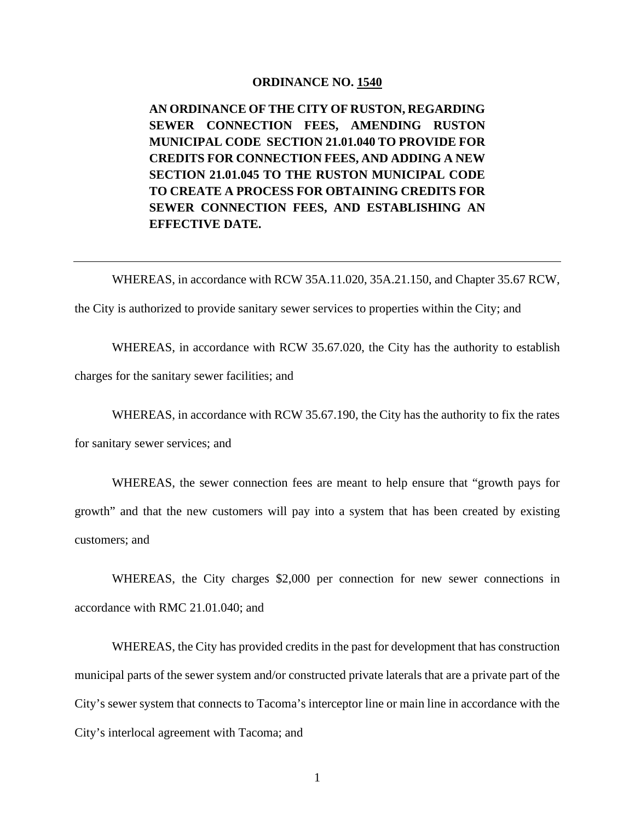#### **ORDINANCE NO. 1540**

**AN ORDINANCE OF THE CITY OF RUSTON, REGARDING SEWER CONNECTION FEES, AMENDING RUSTON MUNICIPAL CODE SECTION 21.01.040 TO PROVIDE FOR CREDITS FOR CONNECTION FEES, AND ADDING A NEW SECTION 21.01.045 TO THE RUSTON MUNICIPAL CODE TO CREATE A PROCESS FOR OBTAINING CREDITS FOR SEWER CONNECTION FEES, AND ESTABLISHING AN EFFECTIVE DATE.** 

WHEREAS, in accordance with RCW 35A.11.020, 35A.21.150, and Chapter 35.67 RCW,

the City is authorized to provide sanitary sewer services to properties within the City; and

WHEREAS, in accordance with RCW 35.67.020, the City has the authority to establish

charges for the sanitary sewer facilities; and

WHEREAS, in accordance with RCW 35.67.190, the City has the authority to fix the rates

for sanitary sewer services; and

WHEREAS, the sewer connection fees are meant to help ensure that "growth pays for growth" and that the new customers will pay into a system that has been created by existing customers; and

WHEREAS, the City charges \$2,000 per connection for new sewer connections in accordance with RMC 21.01.040; and

WHEREAS, the City has provided credits in the past for development that has construction municipal parts of the sewer system and/or constructed private laterals that are a private part of the City's sewer system that connects to Tacoma's interceptor line or main line in accordance with the City's interlocal agreement with Tacoma; and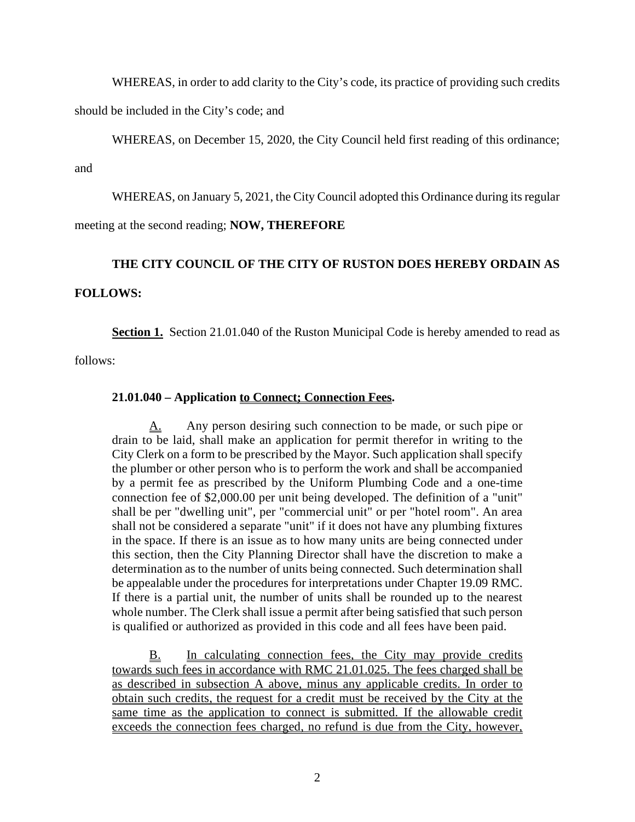WHEREAS, in order to add clarity to the City's code, its practice of providing such credits should be included in the City's code; and

WHEREAS, on December 15, 2020, the City Council held first reading of this ordinance;

and

WHEREAS, on January 5, 2021, the City Council adopted this Ordinance during its regular

meeting at the second reading; **NOW, THEREFORE**

### **THE CITY COUNCIL OF THE CITY OF RUSTON DOES HEREBY ORDAIN AS**

#### **FOLLOWS:**

**Section 1.** Section 21.01.040 of the Ruston Municipal Code is hereby amended to read as

follows:

### **21.01.040 – Application to Connect; Connection Fees.**

A. Any person desiring such connection to be made, or such pipe or drain to be laid, shall make an application for permit therefor in writing to the City Clerk on a form to be prescribed by the Mayor. Such application shall specify the plumber or other person who is to perform the work and shall be accompanied by a permit fee as prescribed by the Uniform Plumbing Code and a one-time connection fee of \$2,000.00 per unit being developed. The definition of a "unit" shall be per "dwelling unit", per "commercial unit" or per "hotel room". An area shall not be considered a separate "unit" if it does not have any plumbing fixtures in the space. If there is an issue as to how many units are being connected under this section, then the City Planning Director shall have the discretion to make a determination as to the number of units being connected. Such determination shall be appealable under the procedures for interpretations under [Chapter 19.09](https://library.municode.com/wa/ruston/codes/municipal_code?nodeId=TIT19ADDERE_CH19.09ADIN) RMC. If there is a partial unit, the number of units shall be rounded up to the nearest whole number. The Clerk shall issue a permit after being satisfied that such person is qualified or authorized as provided in this code and all fees have been paid.

B. In calculating connection fees, the City may provide credits towards such fees in accordance with RMC 21.01.025. The fees charged shall be as described in subsection A above, minus any applicable credits. In order to obtain such credits, the request for a credit must be received by the City at the same time as the application to connect is submitted. If the allowable credit exceeds the connection fees charged, no refund is due from the City, however,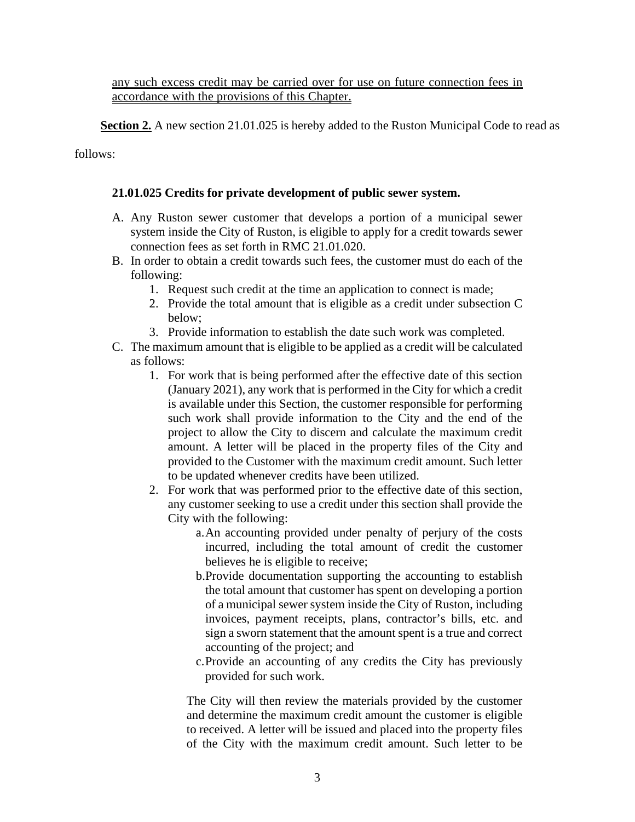any such excess credit may be carried over for use on future connection fees in accordance with the provisions of this Chapter.

**Section 2.** A new section 21.01.025 is hereby added to the Ruston Municipal Code to read as

follows:

### **21.01.025 Credits for private development of public sewer system.**

- A. Any Ruston sewer customer that develops a portion of a municipal sewer system inside the City of Ruston, is eligible to apply for a credit towards sewer connection fees as set forth in RMC 21.01.020.
- B. In order to obtain a credit towards such fees, the customer must do each of the following:
	- 1. Request such credit at the time an application to connect is made;
	- 2. Provide the total amount that is eligible as a credit under subsection C below;
	- 3. Provide information to establish the date such work was completed.
- C. The maximum amount that is eligible to be applied as a credit will be calculated as follows:
	- 1. For work that is being performed after the effective date of this section (January 2021), any work that is performed in the City for which a credit is available under this Section, the customer responsible for performing such work shall provide information to the City and the end of the project to allow the City to discern and calculate the maximum credit amount. A letter will be placed in the property files of the City and provided to the Customer with the maximum credit amount. Such letter to be updated whenever credits have been utilized.
	- 2. For work that was performed prior to the effective date of this section, any customer seeking to use a credit under this section shall provide the City with the following:
		- a.An accounting provided under penalty of perjury of the costs incurred, including the total amount of credit the customer believes he is eligible to receive;
		- b.Provide documentation supporting the accounting to establish the total amount that customer has spent on developing a portion of a municipal sewer system inside the City of Ruston, including invoices, payment receipts, plans, contractor's bills, etc. and sign a sworn statement that the amount spent is a true and correct accounting of the project; and
		- c.Provide an accounting of any credits the City has previously provided for such work.

The City will then review the materials provided by the customer and determine the maximum credit amount the customer is eligible to received. A letter will be issued and placed into the property files of the City with the maximum credit amount. Such letter to be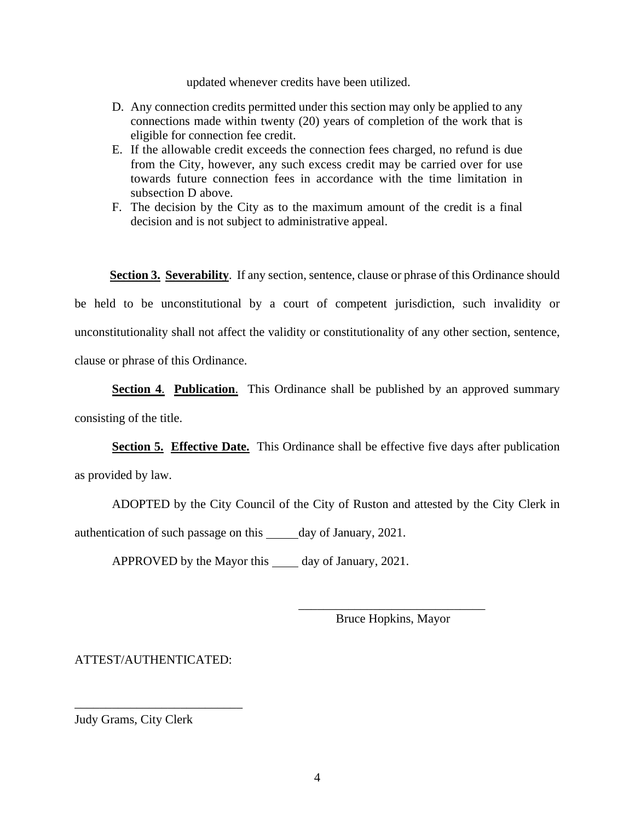updated whenever credits have been utilized.

- D. Any connection credits permitted under this section may only be applied to any connections made within twenty (20) years of completion of the work that is eligible for connection fee credit.
- E. If the allowable credit exceeds the connection fees charged, no refund is due from the City, however, any such excess credit may be carried over for use towards future connection fees in accordance with the time limitation in subsection D above.
- F. The decision by the City as to the maximum amount of the credit is a final decision and is not subject to administrative appeal.

 **Section 3. Severability**. If any section, sentence, clause or phrase of this Ordinance should

be held to be unconstitutional by a court of competent jurisdiction, such invalidity or unconstitutionality shall not affect the validity or constitutionality of any other section, sentence, clause or phrase of this Ordinance.

**Section 4**. **Publication**. This Ordinance shall be published by an approved summary consisting of the title.

**Section 5. Effective Date.** This Ordinance shall be effective five days after publication as provided by law.

ADOPTED by the City Council of the City of Ruston and attested by the City Clerk in authentication of such passage on this day of January, 2021.

APPROVED by the Mayor this day of January, 2021.

\_\_\_\_\_\_\_\_\_\_\_\_\_\_\_\_\_\_\_\_\_\_\_\_\_\_\_\_\_\_ Bruce Hopkins, Mayor

ATTEST/AUTHENTICATED:

\_\_\_\_\_\_\_\_\_\_\_\_\_\_\_\_\_\_\_\_\_\_\_\_\_\_\_

Judy Grams, City Clerk